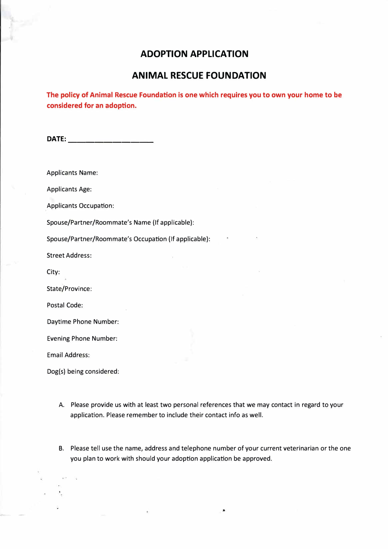## **ADOPTION APPLICATION**

## **ANIMAL RESCUE FOUNDATION**

**The policy of Animal Rescue Foundation is one which requires you to own your home to be considered for an adoption.** 

**DATE: \_\_\_\_\_\_\_\_\_ \_** 

Applicants Name:

Applicants Age:

Applicants Occupation:

Spouse/Partner/Roommate's Name (If applicable):

Spouse/Partner/Roommate's Occupation (If applicable):

Street Address:

City:

State/Province:

Postal Code:

Daytime Phone Number:

Evening Phone Number:

Email Address:

Dog(s) being considered:

- A. Please provide us with at least two personal references that we may contact in regard to your application. Please remember to include their contact info as well.
- B. Please tell use the name, address and telephone number of your current veterinarian or the one you plan to work with should your adoption application be approved.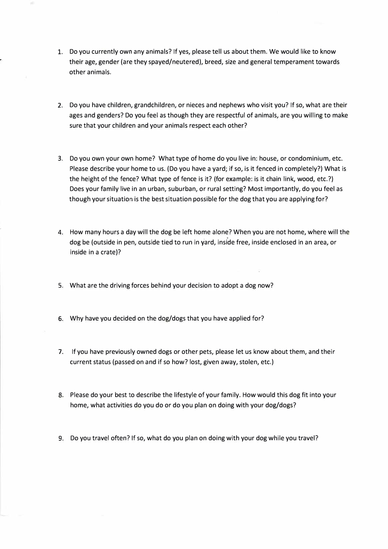- 1. Do you currently own any animals? If yes, please tell us about them. We would like to know their age, gender (are they spayed/neutered), breed, size and general temperament towards other animals.
- 2. Do you have children, grandchildren, or nieces and nephews who visit you? If so, what are their ages and genders? Do you feel as though they are respectful of animals, are you willing to make sure that your children and your animals respect each other?
- 3. Do you own your own home? What type of home do you live in: house, or condominium, etc. Please describe your home to us. (Do you have a yard; if so, is it fenced in completely?) What is the height of the fence? What type of fence is it? (for example: is it chain link, wood, etc.?) Does your family live in an urban, suburban, or rural setting? Most importantly, do you feel as though your situation is the best situation possible for the dog that you are applying for?
- 4. How many hours a day will the dog be left home alone? When you are not home, where will the dog be (outside in pen, outside tied to run in yard, inside free, inside enclosed in an area, or inside in a crate)?
- 5. What are the driving forces behind your decision to adopt a dog now?
- 6. Why have you decided on the dog/dogs that you have applied for?
- 7. If you have previously owned dogs or other pets, please let us know about them, and their current status (passed on and if so how? lost, given away, stolen, etc.)
- 8. Please do your best to describe the lifestyle of your family. How would this dog fit into your home, what activities do you do or do you plan on doing with your dog/dogs?
- 9. Do you travel often? If so, what do you plan on doing with your dog while you travel?